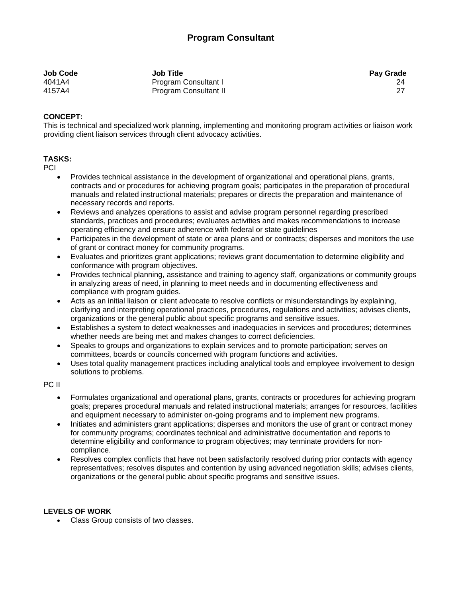| <b>Job Code</b> | <b>Job Title</b>      | <b>Pay Grade</b> |
|-----------------|-----------------------|------------------|
| 4041A4          | Program Consultant I  | 24               |
| 4157A4          | Program Consultant II |                  |

## **CONCEPT:**

This is technical and specialized work planning, implementing and monitoring program activities or liaison work providing client liaison services through client advocacy activities.

## **TASKS:**

**PCI** 

- Provides technical assistance in the development of organizational and operational plans, grants, contracts and or procedures for achieving program goals; participates in the preparation of procedural manuals and related instructional materials; prepares or directs the preparation and maintenance of necessary records and reports.
- Reviews and analyzes operations to assist and advise program personnel regarding prescribed standards, practices and procedures; evaluates activities and makes recommendations to increase operating efficiency and ensure adherence with federal or state guidelines
- Participates in the development of state or area plans and or contracts; disperses and monitors the use of grant or contract money for community programs.
- Evaluates and prioritizes grant applications; reviews grant documentation to determine eligibility and conformance with program objectives.
- Provides technical planning, assistance and training to agency staff, organizations or community groups in analyzing areas of need, in planning to meet needs and in documenting effectiveness and compliance with program guides.
- Acts as an initial liaison or client advocate to resolve conflicts or misunderstandings by explaining, clarifying and interpreting operational practices, procedures, regulations and activities; advises clients, organizations or the general public about specific programs and sensitive issues.
- Establishes a system to detect weaknesses and inadequacies in services and procedures; determines whether needs are being met and makes changes to correct deficiencies.
- Speaks to groups and organizations to explain services and to promote participation; serves on committees, boards or councils concerned with program functions and activities.
- Uses total quality management practices including analytical tools and employee involvement to design solutions to problems.

PC II

- Formulates organizational and operational plans, grants, contracts or procedures for achieving program goals; prepares procedural manuals and related instructional materials; arranges for resources, facilities and equipment necessary to administer on-going programs and to implement new programs.
- Initiates and administers grant applications; disperses and monitors the use of grant or contract money for community programs; coordinates technical and administrative documentation and reports to determine eligibility and conformance to program objectives; may terminate providers for noncompliance.
- Resolves complex conflicts that have not been satisfactorily resolved during prior contacts with agency representatives; resolves disputes and contention by using advanced negotiation skills; advises clients, organizations or the general public about specific programs and sensitive issues.

## **LEVELS OF WORK**

Class Group consists of two classes.